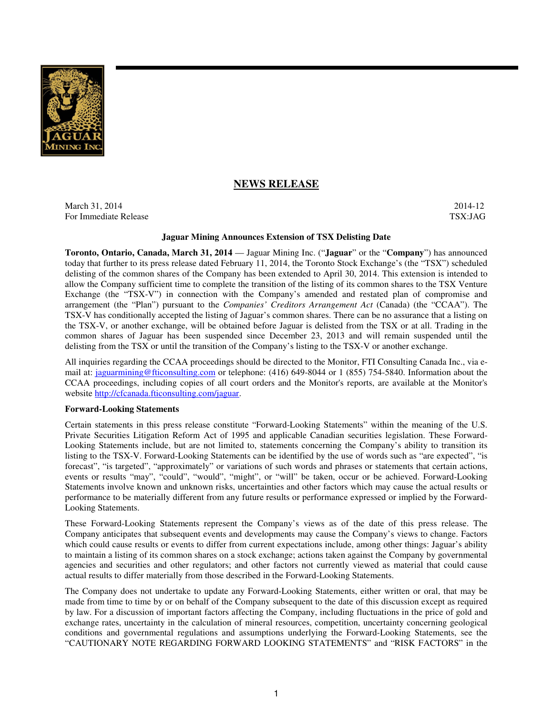

# **NEWS RELEASE**

March 31, 2014-12 2014-12 For Immediate Release TSX:JAG

## **Jaguar Mining Announces Extension of TSX Delisting Date**

**Toronto, Ontario, Canada, March 31, 2014** — Jaguar Mining Inc. ("**Jaguar**" or the "**Company**") has announced today that further to its press release dated February 11, 2014, the Toronto Stock Exchange's (the "TSX") scheduled delisting of the common shares of the Company has been extended to April 30, 2014. This extension is intended to allow the Company sufficient time to complete the transition of the listing of its common shares to the TSX Venture Exchange (the "TSX-V") in connection with the Company's amended and restated plan of compromise and arrangement (the "Plan") pursuant to the *Companies' Creditors Arrangement Act* (Canada) (the "CCAA"). The TSX-V has conditionally accepted the listing of Jaguar's common shares. There can be no assurance that a listing on the TSX-V, or another exchange, will be obtained before Jaguar is delisted from the TSX or at all. Trading in the common shares of Jaguar has been suspended since December 23, 2013 and will remain suspended until the delisting from the TSX or until the transition of the Company's listing to the TSX-V or another exchange.

All inquiries regarding the CCAA proceedings should be directed to the Monitor, FTI Consulting Canada Inc., via email at: jaguarmining@fticonsulting.com or telephone: (416) 649-8044 or 1 (855) 754-5840. Information about the CCAA proceedings, including copies of all court orders and the Monitor's reports, are available at the Monitor's website http://cfcanada.fticonsulting.com/jaguar.

#### **Forward-Looking Statements**

Certain statements in this press release constitute "Forward-Looking Statements" within the meaning of the U.S. Private Securities Litigation Reform Act of 1995 and applicable Canadian securities legislation. These Forward-Looking Statements include, but are not limited to, statements concerning the Company's ability to transition its listing to the TSX-V. Forward-Looking Statements can be identified by the use of words such as "are expected", "is forecast", "is targeted", "approximately" or variations of such words and phrases or statements that certain actions, events or results "may", "could", "would", "might", or "will" be taken, occur or be achieved. Forward-Looking Statements involve known and unknown risks, uncertainties and other factors which may cause the actual results or performance to be materially different from any future results or performance expressed or implied by the Forward-Looking Statements.

These Forward-Looking Statements represent the Company's views as of the date of this press release. The Company anticipates that subsequent events and developments may cause the Company's views to change. Factors which could cause results or events to differ from current expectations include, among other things: Jaguar's ability to maintain a listing of its common shares on a stock exchange; actions taken against the Company by governmental agencies and securities and other regulators; and other factors not currently viewed as material that could cause actual results to differ materially from those described in the Forward-Looking Statements.

The Company does not undertake to update any Forward-Looking Statements, either written or oral, that may be made from time to time by or on behalf of the Company subsequent to the date of this discussion except as required by law. For a discussion of important factors affecting the Company, including fluctuations in the price of gold and exchange rates, uncertainty in the calculation of mineral resources, competition, uncertainty concerning geological conditions and governmental regulations and assumptions underlying the Forward-Looking Statements, see the "CAUTIONARY NOTE REGARDING FORWARD LOOKING STATEMENTS" and "RISK FACTORS" in the